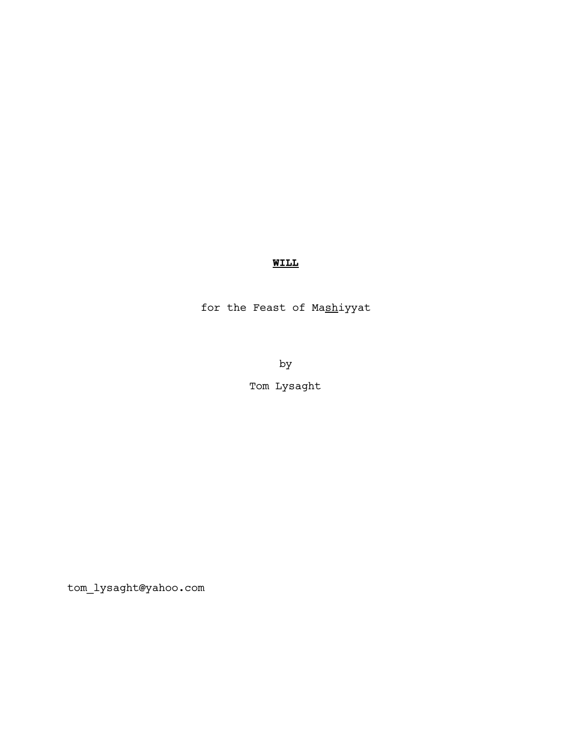# **WILL**

for the Feast of Mashiyyat

by

Tom Lysaght

tom\_lysaght@yahoo.com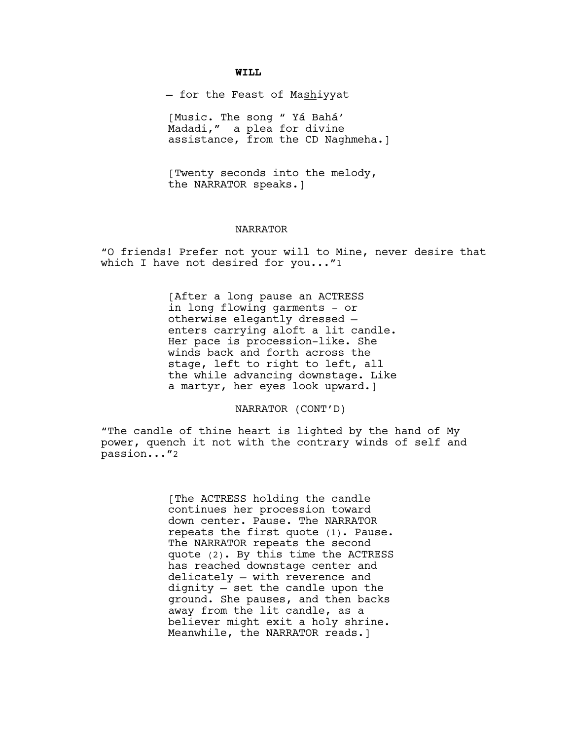### **WILL**

- for the Feast of Mashiyyat

[Music. The song " Yá Bahá' Madadi," a plea for divine assistance, from the CD Naghmeha.]

[Twenty seconds into the melody, the NARRATOR speaks.]

#### NARRATOR

"O friends! Prefer not your will to Mine, never desire that which I have not desired for you..."1

> [After a long pause an ACTRESS in long flowing garments - or otherwise elegantly dressed enters carrying aloft a lit candle. Her pace is procession-like. She winds back and forth across the stage, left to right to left, all the while advancing downstage. Like a martyr, her eyes look upward.]

> > NARRATOR (CONT'D)

"The candle of thine heart is lighted by the hand of My power, quench it not with the contrary winds of self and passion..."2

> [The ACTRESS holding the candle continues her procession toward down center. Pause. The NARRATOR repeats the first quote (1). Pause. The NARRATOR repeats the second quote (2). By this time the ACTRESS has reached downstage center and delicately — with reverence and dignity — set the candle upon the ground. She pauses, and then backs away from the lit candle, as a believer might exit a holy shrine. Meanwhile, the NARRATOR reads.]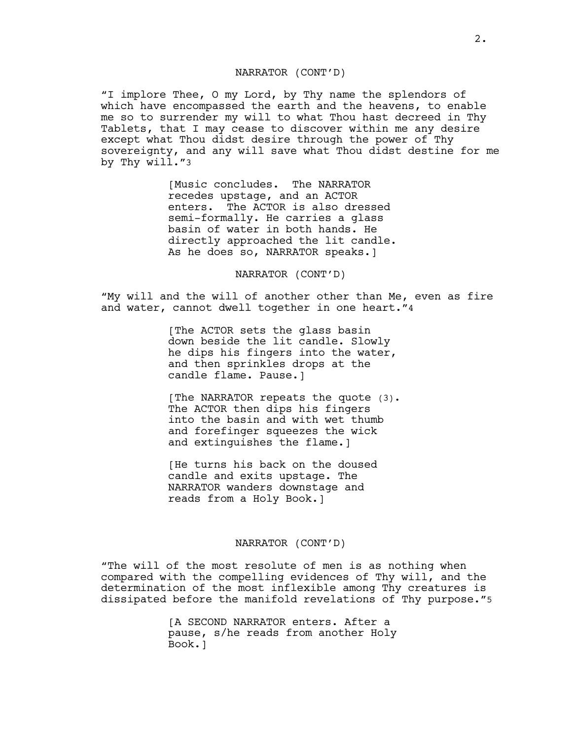## NARRATOR (CONT'D)

"I implore Thee, O my Lord, by Thy name the splendors of which have encompassed the earth and the heavens, to enable me so to surrender my will to what Thou hast decreed in Thy Tablets, that I may cease to discover within me any desire except what Thou didst desire through the power of Thy sovereignty, and any will save what Thou didst destine for me by Thy will."3

> [Music concludes. The NARRATOR recedes upstage, and an ACTOR enters. The ACTOR is also dressed semi-formally. He carries a glass basin of water in both hands. He directly approached the lit candle. As he does so, NARRATOR speaks.]

> > NARRATOR (CONT'D)

"My will and the will of another other than Me, even as fire and water, cannot dwell together in one heart."4

> [The ACTOR sets the glass basin down beside the lit candle. Slowly he dips his fingers into the water, and then sprinkles drops at the candle flame. Pause.]

> [The NARRATOR repeats the quote (3). The ACTOR then dips his fingers into the basin and with wet thumb and forefinger squeezes the wick and extinguishes the flame.]

[He turns his back on the doused candle and exits upstage. The NARRATOR wanders downstage and reads from a Holy Book.]

## NARRATOR (CONT'D)

"The will of the most resolute of men is as nothing when compared with the compelling evidences of Thy will, and the determination of the most inflexible among Thy creatures is dissipated before the manifold revelations of Thy purpose."5

> [A SECOND NARRATOR enters. After a pause, s/he reads from another Holy Book.]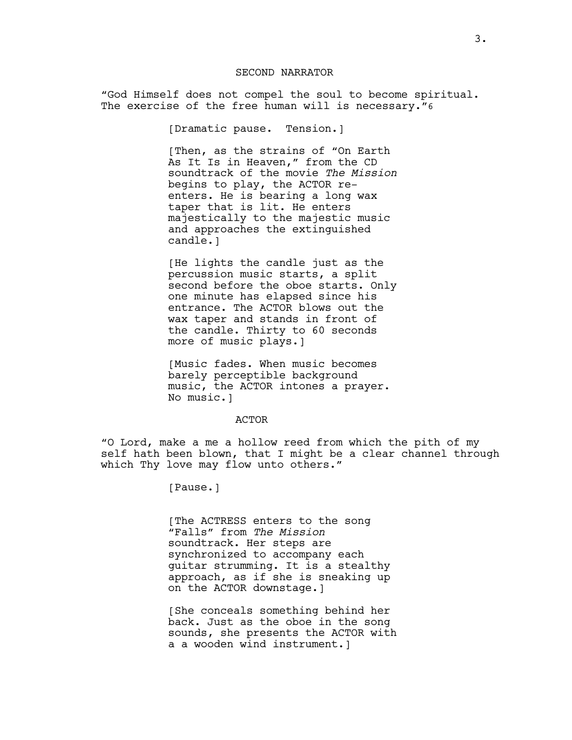### SECOND NARRATOR

"God Himself does not compel the soul to become spiritual. The exercise of the free human will is necessary."6

[Dramatic pause. Tension.]

[Then, as the strains of "On Earth As It Is in Heaven," from the CD soundtrack of the movie *The Mission*  begins to play, the ACTOR reenters. He is bearing a long wax taper that is lit. He enters majestically to the majestic music and approaches the extinguished candle.]

[He lights the candle just as the percussion music starts, a split second before the oboe starts. Only one minute has elapsed since his entrance. The ACTOR blows out the wax taper and stands in front of the candle. Thirty to 60 seconds more of music plays.]

[Music fades. When music becomes barely perceptible background music, the ACTOR intones a prayer. No music.]

#### ACTOR

"O Lord, make a me a hollow reed from which the pith of my self hath been blown, that I might be a clear channel through which Thy love may flow unto others."

[Pause.]

[The ACTRESS enters to the song "Falls" from *The Mission*  soundtrack. Her steps are synchronized to accompany each guitar strumming. It is a stealthy approach, as if she is sneaking up on the ACTOR downstage.]

[She conceals something behind her back. Just as the oboe in the song sounds, she presents the ACTOR with a a wooden wind instrument.]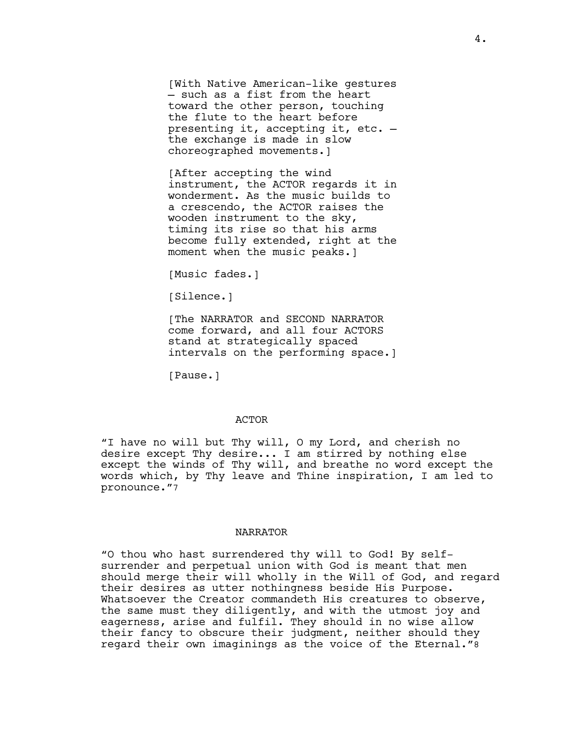[With Native American-like gestures — such as a fist from the heart toward the other person, touching the flute to the heart before presenting it, accepting it, etc. the exchange is made in slow choreographed movements.]

[After accepting the wind instrument, the ACTOR regards it in wonderment. As the music builds to a crescendo, the ACTOR raises the wooden instrument to the sky, timing its rise so that his arms become fully extended, right at the moment when the music peaks.]

[Music fades.]

[Silence.]

[The NARRATOR and SECOND NARRATOR come forward, and all four ACTORS stand at strategically spaced intervals on the performing space.]

[Pause.]

## ACTOR

"I have no will but Thy will, O my Lord, and cherish no desire except Thy desire... I am stirred by nothing else except the winds of Thy will, and breathe no word except the words which, by Thy leave and Thine inspiration, I am led to pronounce."7

#### NARRATOR

"O thou who hast surrendered thy will to God! By selfsurrender and perpetual union with God is meant that men should merge their will wholly in the Will of God, and regard their desires as utter nothingness beside His Purpose. Whatsoever the Creator commandeth His creatures to observe, the same must they diligently, and with the utmost joy and eagerness, arise and fulfil. They should in no wise allow their fancy to obscure their judgment, neither should they regard their own imaginings as the voice of the Eternal."8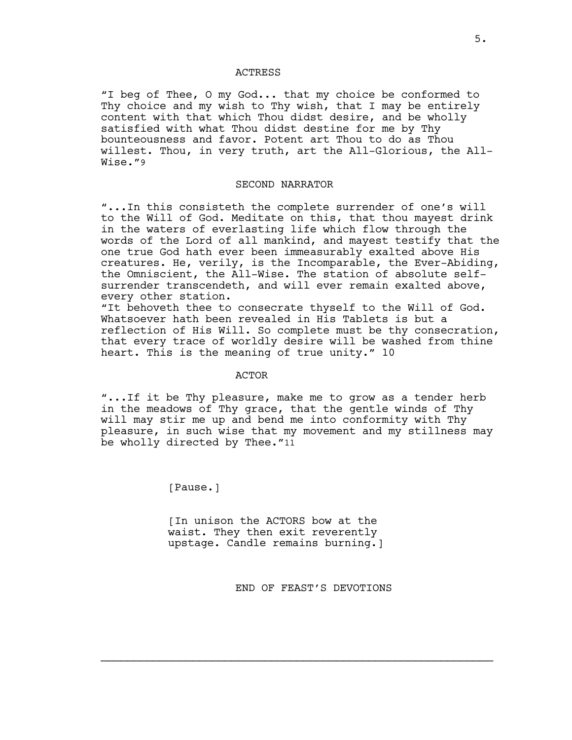#### ACTRESS

"I beg of Thee, O my God... that my choice be conformed to Thy choice and my wish to Thy wish, that I may be entirely content with that which Thou didst desire, and be wholly satisfied with what Thou didst destine for me by Thy bounteousness and favor. Potent art Thou to do as Thou willest. Thou, in very truth, art the All-Glorious, the All-Wise."9

### SECOND NARRATOR

"...In this consisteth the complete surrender of one's will to the Will of God. Meditate on this, that thou mayest drink in the waters of everlasting life which flow through the words of the Lord of all mankind, and mayest testify that the one true God hath ever been immeasurably exalted above His creatures. He, verily, is the Incomparable, the Ever-Abiding, the Omniscient, the All-Wise. The station of absolute selfsurrender transcendeth, and will ever remain exalted above, every other station.

"It behoveth thee to consecrate thyself to the Will of God. Whatsoever hath been revealed in His Tablets is but a reflection of His Will. So complete must be thy consecration, that every trace of worldly desire will be washed from thine heart. This is the meaning of true unity." 10

#### ACTOR

"...If it be Thy pleasure, make me to grow as a tender herb in the meadows of Thy grace, that the gentle winds of Thy will may stir me up and bend me into conformity with Thy pleasure, in such wise that my movement and my stillness may be wholly directed by Thee."11

[Pause.]

[In unison the ACTORS bow at the waist. They then exit reverently upstage. Candle remains burning.]

END OF FEAST'S DEVOTIONS

 $\mathcal{L}_\text{max}$  and  $\mathcal{L}_\text{max}$  and  $\mathcal{L}_\text{max}$  and  $\mathcal{L}_\text{max}$  and  $\mathcal{L}_\text{max}$  and  $\mathcal{L}_\text{max}$